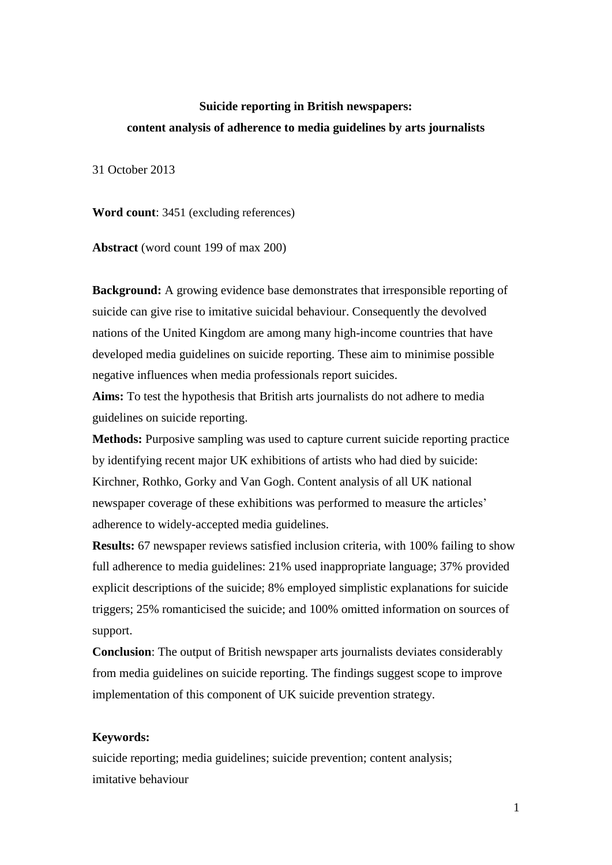# **Suicide reporting in British newspapers: content analysis of adherence to media guidelines by arts journalists**

31 October 2013

**Word count**: 3451 (excluding references)

**Abstract** (word count 199 of max 200)

**Background:** A growing evidence base demonstrates that irresponsible reporting of suicide can give rise to imitative suicidal behaviour. Consequently the devolved nations of the United Kingdom are among many high-income countries that have developed media guidelines on suicide reporting. These aim to minimise possible negative influences when media professionals report suicides.

**Aims:** To test the hypothesis that British arts journalists do not adhere to media guidelines on suicide reporting.

**Methods:** Purposive sampling was used to capture current suicide reporting practice by identifying recent major UK exhibitions of artists who had died by suicide: Kirchner, Rothko, Gorky and Van Gogh. Content analysis of all UK national newspaper coverage of these exhibitions was performed to measure the articles' adherence to widely-accepted media guidelines.

**Results:** 67 newspaper reviews satisfied inclusion criteria, with 100% failing to show full adherence to media guidelines: 21% used inappropriate language; 37% provided explicit descriptions of the suicide; 8% employed simplistic explanations for suicide triggers; 25% romanticised the suicide; and 100% omitted information on sources of support.

**Conclusion**: The output of British newspaper arts journalists deviates considerably from media guidelines on suicide reporting. The findings suggest scope to improve implementation of this component of UK suicide prevention strategy.

# **Keywords:**

suicide reporting; media guidelines; suicide prevention; content analysis; imitative behaviour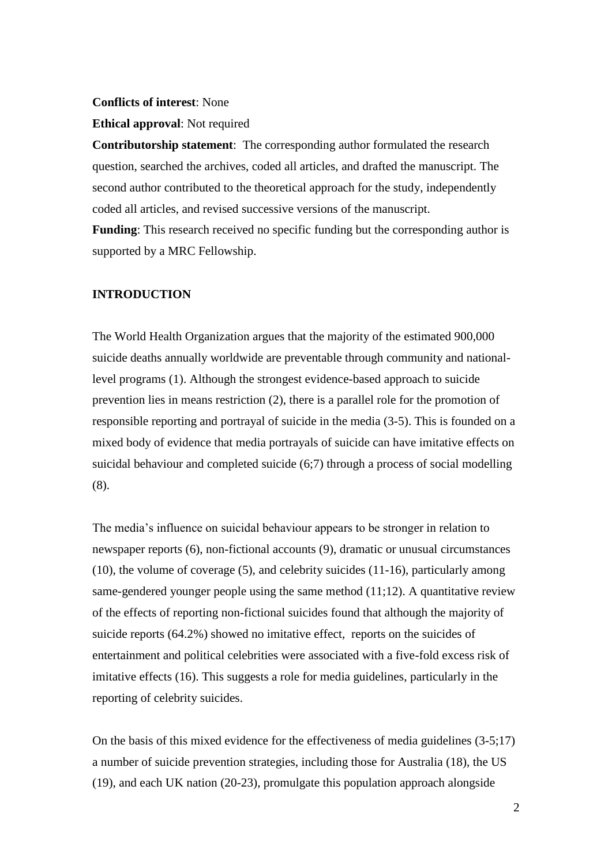#### **Conflicts of interest**: None

#### **Ethical approval**: Not required

**Contributorship statement**: The corresponding author formulated the research question, searched the archives, coded all articles, and drafted the manuscript. The second author contributed to the theoretical approach for the study, independently coded all articles, and revised successive versions of the manuscript.

**Funding**: This research received no specific funding but the corresponding author is supported by a MRC Fellowship.

## **INTRODUCTION**

The World Health Organization argues that the majority of the estimated 900,000 suicide deaths annually worldwide are preventable through community and nationallevel programs (1). Although the strongest evidence-based approach to suicide prevention lies in means restriction (2), there is a parallel role for the promotion of responsible reporting and portrayal of suicide in the media (3-5). This is founded on a mixed body of evidence that media portrayals of suicide can have imitative effects on suicidal behaviour and completed suicide (6;7) through a process of social modelling (8).

The media's influence on suicidal behaviour appears to be stronger in relation to newspaper reports (6), non-fictional accounts (9), dramatic or unusual circumstances (10), the volume of coverage (5), and celebrity suicides (11-16), particularly among same-gendered younger people using the same method (11;12). A quantitative review of the effects of reporting non-fictional suicides found that although the majority of suicide reports (64.2%) showed no imitative effect, reports on the suicides of entertainment and political celebrities were associated with a five-fold excess risk of imitative effects (16). This suggests a role for media guidelines, particularly in the reporting of celebrity suicides.

On the basis of this mixed evidence for the effectiveness of media guidelines (3-5;17) a number of suicide prevention strategies, including those for Australia (18), the US (19), and each UK nation (20-23), promulgate this population approach alongside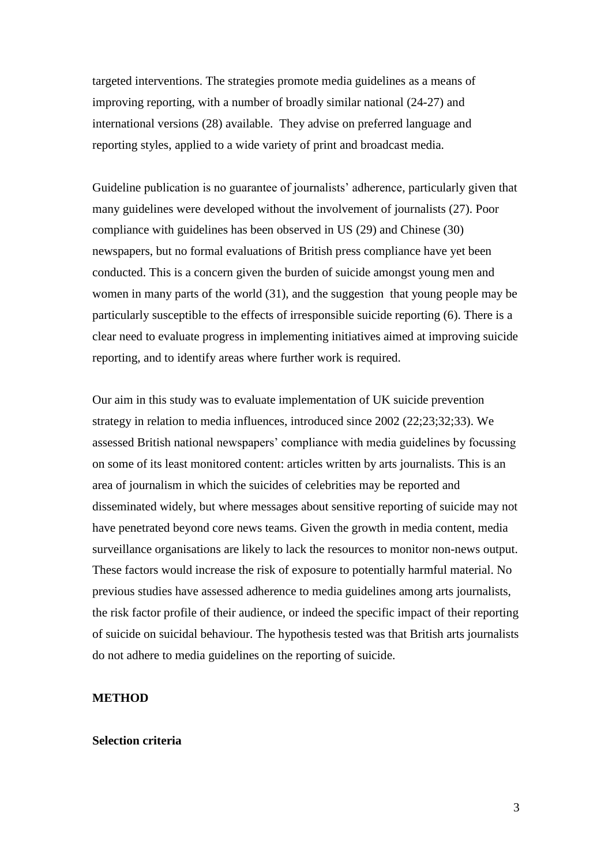targeted interventions. The strategies promote media guidelines as a means of improving reporting, with a number of broadly similar national (24-27) and international versions (28) available. They advise on preferred language and reporting styles, applied to a wide variety of print and broadcast media.

Guideline publication is no guarantee of journalists' adherence, particularly given that many guidelines were developed without the involvement of journalists (27). Poor compliance with guidelines has been observed in US (29) and Chinese (30) newspapers, but no formal evaluations of British press compliance have yet been conducted. This is a concern given the burden of suicide amongst young men and women in many parts of the world (31), and the suggestion that young people may be particularly susceptible to the effects of irresponsible suicide reporting (6). There is a clear need to evaluate progress in implementing initiatives aimed at improving suicide reporting, and to identify areas where further work is required.

Our aim in this study was to evaluate implementation of UK suicide prevention strategy in relation to media influences, introduced since 2002 (22;23;32;33). We assessed British national newspapers' compliance with media guidelines by focussing on some of its least monitored content: articles written by arts journalists. This is an area of journalism in which the suicides of celebrities may be reported and disseminated widely, but where messages about sensitive reporting of suicide may not have penetrated beyond core news teams. Given the growth in media content, media surveillance organisations are likely to lack the resources to monitor non-news output. These factors would increase the risk of exposure to potentially harmful material. No previous studies have assessed adherence to media guidelines among arts journalists, the risk factor profile of their audience, or indeed the specific impact of their reporting of suicide on suicidal behaviour. The hypothesis tested was that British arts journalists do not adhere to media guidelines on the reporting of suicide.

#### **METHOD**

#### **Selection criteria**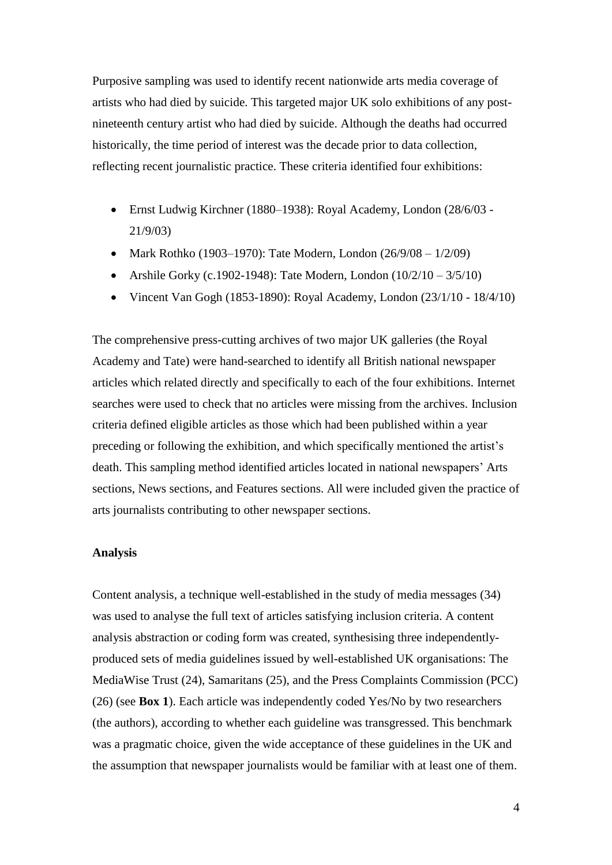Purposive sampling was used to identify recent nationwide arts media coverage of artists who had died by suicide. This targeted major UK solo exhibitions of any postnineteenth century artist who had died by suicide. Although the deaths had occurred historically, the time period of interest was the decade prior to data collection, reflecting recent journalistic practice. These criteria identified four exhibitions:

- Ernst Ludwig Kirchner (1880–1938): Royal Academy, London (28/6/03 21/9/03)
- Mark Rothko (1903–1970): Tate Modern, London (26/9/08  $1/2/09$ )
- Arshile Gorky (c.1902-1948): Tate Modern, London  $(10/2/10 3/5/10)$
- Vincent Van Gogh (1853-1890): Royal Academy, London  $(23/1/10 18/4/10)$

The comprehensive press-cutting archives of two major UK galleries (the Royal Academy and Tate) were hand-searched to identify all British national newspaper articles which related directly and specifically to each of the four exhibitions. Internet searches were used to check that no articles were missing from the archives. Inclusion criteria defined eligible articles as those which had been published within a year preceding or following the exhibition, and which specifically mentioned the artist's death. This sampling method identified articles located in national newspapers' Arts sections, News sections, and Features sections. All were included given the practice of arts journalists contributing to other newspaper sections.

### **Analysis**

Content analysis, a technique well-established in the study of media messages (34) was used to analyse the full text of articles satisfying inclusion criteria. A content analysis abstraction or coding form was created, synthesising three independentlyproduced sets of media guidelines issued by well-established UK organisations: The MediaWise Trust (24), Samaritans (25), and the Press Complaints Commission (PCC) (26) (see **Box 1**). Each article was independently coded Yes/No by two researchers (the authors), according to whether each guideline was transgressed. This benchmark was a pragmatic choice, given the wide acceptance of these guidelines in the UK and the assumption that newspaper journalists would be familiar with at least one of them.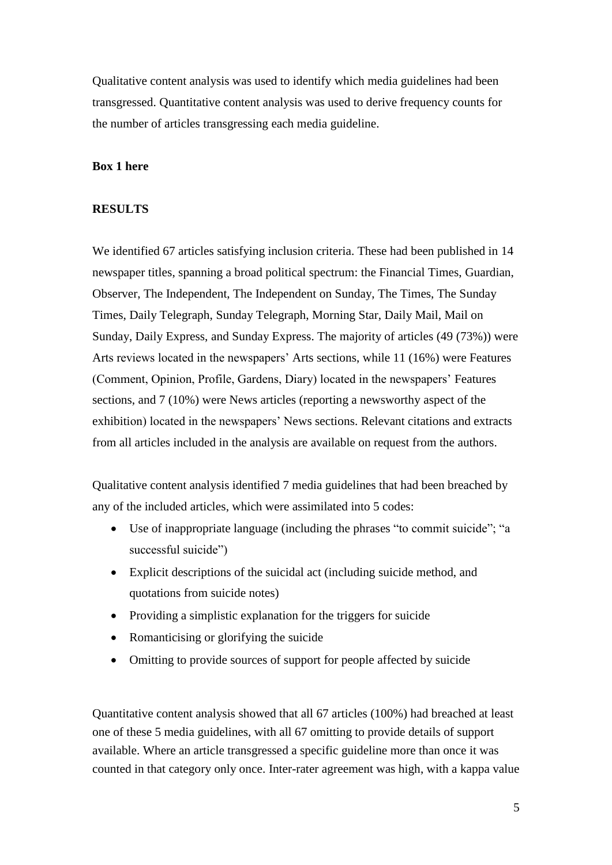Qualitative content analysis was used to identify which media guidelines had been transgressed. Quantitative content analysis was used to derive frequency counts for the number of articles transgressing each media guideline.

# **Box 1 here**

## **RESULTS**

We identified 67 articles satisfying inclusion criteria. These had been published in 14 newspaper titles, spanning a broad political spectrum: the Financial Times, Guardian, Observer, The Independent, The Independent on Sunday, The Times, The Sunday Times, Daily Telegraph, Sunday Telegraph, Morning Star, Daily Mail, Mail on Sunday, Daily Express, and Sunday Express. The majority of articles (49 (73%)) were Arts reviews located in the newspapers' Arts sections, while 11 (16%) were Features (Comment, Opinion, Profile, Gardens, Diary) located in the newspapers' Features sections, and 7 (10%) were News articles (reporting a newsworthy aspect of the exhibition) located in the newspapers' News sections. Relevant citations and extracts from all articles included in the analysis are available on request from the authors.

Qualitative content analysis identified 7 media guidelines that had been breached by any of the included articles, which were assimilated into 5 codes:

- Use of inappropriate language (including the phrases "to commit suicide"; "a successful suicide")
- Explicit descriptions of the suicidal act (including suicide method, and quotations from suicide notes)
- Providing a simplistic explanation for the triggers for suicide
- Romanticising or glorifying the suicide
- Omitting to provide sources of support for people affected by suicide

Quantitative content analysis showed that all 67 articles (100%) had breached at least one of these 5 media guidelines, with all 67 omitting to provide details of support available. Where an article transgressed a specific guideline more than once it was counted in that category only once. Inter-rater agreement was high, with a kappa value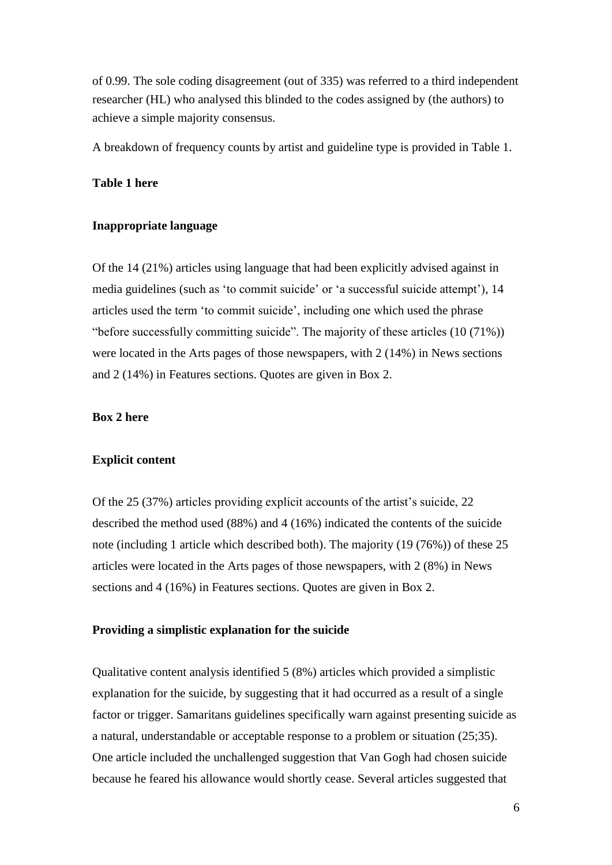of 0.99. The sole coding disagreement (out of 335) was referred to a third independent researcher (HL) who analysed this blinded to the codes assigned by (the authors) to achieve a simple majority consensus.

A breakdown of frequency counts by artist and guideline type is provided in Table 1.

## **Table 1 here**

## **Inappropriate language**

Of the 14 (21%) articles using language that had been explicitly advised against in media guidelines (such as 'to commit suicide' or 'a successful suicide attempt'), 14 articles used the term 'to commit suicide', including one which used the phrase "before successfully committing suicide". The majority of these articles (10 (71%)) were located in the Arts pages of those newspapers, with 2 (14%) in News sections and 2 (14%) in Features sections. Quotes are given in Box 2.

#### **Box 2 here**

#### **Explicit content**

Of the 25 (37%) articles providing explicit accounts of the artist's suicide, 22 described the method used (88%) and 4 (16%) indicated the contents of the suicide note (including 1 article which described both). The majority (19 (76%)) of these 25 articles were located in the Arts pages of those newspapers, with 2 (8%) in News sections and 4 (16%) in Features sections. Quotes are given in Box 2.

#### **Providing a simplistic explanation for the suicide**

Qualitative content analysis identified 5 (8%) articles which provided a simplistic explanation for the suicide, by suggesting that it had occurred as a result of a single factor or trigger. Samaritans guidelines specifically warn against presenting suicide as a natural, understandable or acceptable response to a problem or situation (25;35). One article included the unchallenged suggestion that Van Gogh had chosen suicide because he feared his allowance would shortly cease. Several articles suggested that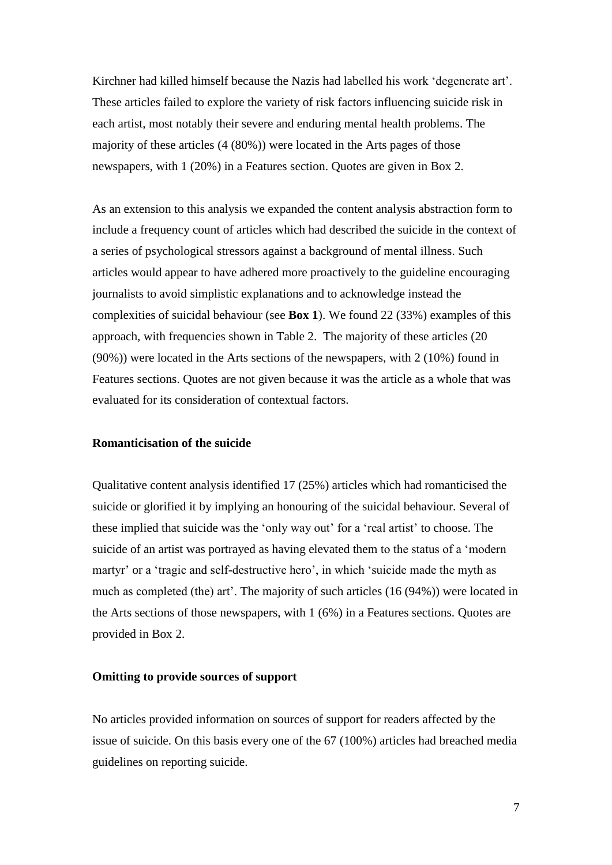Kirchner had killed himself because the Nazis had labelled his work 'degenerate art'. These articles failed to explore the variety of risk factors influencing suicide risk in each artist, most notably their severe and enduring mental health problems. The majority of these articles (4 (80%)) were located in the Arts pages of those newspapers, with 1 (20%) in a Features section. Quotes are given in Box 2.

As an extension to this analysis we expanded the content analysis abstraction form to include a frequency count of articles which had described the suicide in the context of a series of psychological stressors against a background of mental illness. Such articles would appear to have adhered more proactively to the guideline encouraging journalists to avoid simplistic explanations and to acknowledge instead the complexities of suicidal behaviour (see **Box 1**). We found 22 (33%) examples of this approach, with frequencies shown in Table 2. The majority of these articles (20 (90%)) were located in the Arts sections of the newspapers, with 2 (10%) found in Features sections. Quotes are not given because it was the article as a whole that was evaluated for its consideration of contextual factors.

#### **Romanticisation of the suicide**

Qualitative content analysis identified 17 (25%) articles which had romanticised the suicide or glorified it by implying an honouring of the suicidal behaviour. Several of these implied that suicide was the 'only way out' for a 'real artist' to choose. The suicide of an artist was portrayed as having elevated them to the status of a 'modern martyr' or a 'tragic and self-destructive hero', in which 'suicide made the myth as much as completed (the) art'. The majority of such articles (16 (94%)) were located in the Arts sections of those newspapers, with 1 (6%) in a Features sections. Quotes are provided in Box 2.

## **Omitting to provide sources of support**

No articles provided information on sources of support for readers affected by the issue of suicide. On this basis every one of the 67 (100%) articles had breached media guidelines on reporting suicide.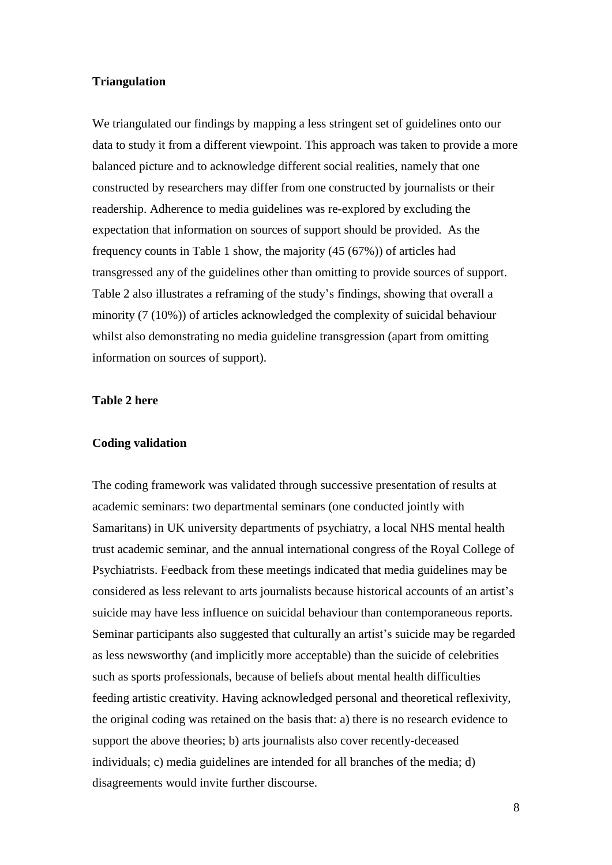## **Triangulation**

We triangulated our findings by mapping a less stringent set of guidelines onto our data to study it from a different viewpoint. This approach was taken to provide a more balanced picture and to acknowledge different social realities, namely that one constructed by researchers may differ from one constructed by journalists or their readership. Adherence to media guidelines was re-explored by excluding the expectation that information on sources of support should be provided. As the frequency counts in Table 1 show, the majority (45 (67%)) of articles had transgressed any of the guidelines other than omitting to provide sources of support. Table 2 also illustrates a reframing of the study's findings, showing that overall a minority (7 (10%)) of articles acknowledged the complexity of suicidal behaviour whilst also demonstrating no media guideline transgression (apart from omitting information on sources of support).

# **Table 2 here**

#### **Coding validation**

The coding framework was validated through successive presentation of results at academic seminars: two departmental seminars (one conducted jointly with Samaritans) in UK university departments of psychiatry, a local NHS mental health trust academic seminar, and the annual international congress of the Royal College of Psychiatrists. Feedback from these meetings indicated that media guidelines may be considered as less relevant to arts journalists because historical accounts of an artist's suicide may have less influence on suicidal behaviour than contemporaneous reports. Seminar participants also suggested that culturally an artist's suicide may be regarded as less newsworthy (and implicitly more acceptable) than the suicide of celebrities such as sports professionals, because of beliefs about mental health difficulties feeding artistic creativity. Having acknowledged personal and theoretical reflexivity, the original coding was retained on the basis that: a) there is no research evidence to support the above theories; b) arts journalists also cover recently-deceased individuals; c) media guidelines are intended for all branches of the media; d) disagreements would invite further discourse.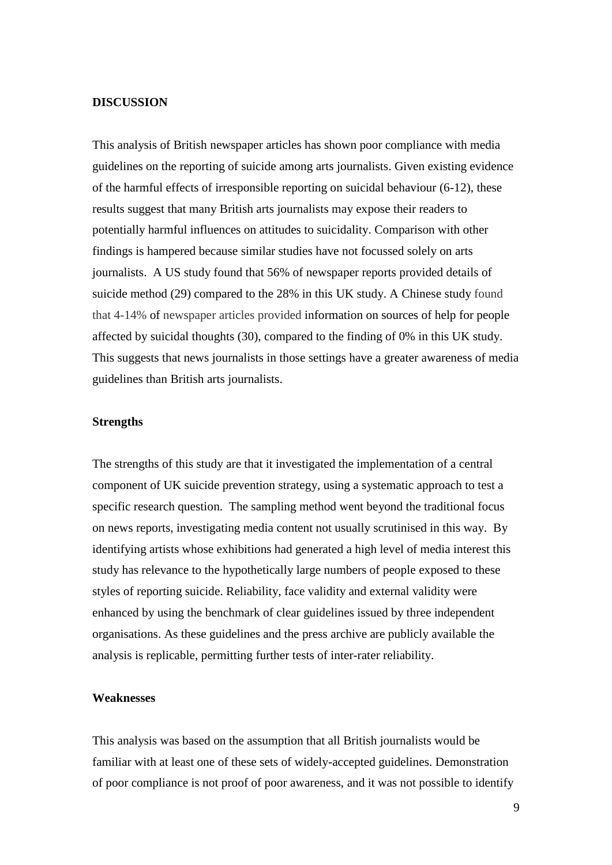### **DISCUSSION**

This analysis of British newspaper articles has shown poor compliance with media guidelines on the reporting of suicide among arts journalists. Given existing evidence of the harmful effects of irresponsible reporting on suicidal behaviour (6-12), these results suggest that many British arts journalists may expose their readers to potentially harmful influences on attitudes to suicidality. Comparison with other findings is hampered because similar studies have not focussed solely on arts journalists. A US study found that 56% of newspaper reports provided details of suicide method (29) compared to the 28% in this UK study. A Chinese study found that 4-14% of newspaper articles provided information on sources of help for people affected by suicidal thoughts (30), compared to the finding of 0% in this UK study. This suggests that news journalists in those settings have a greater awareness of media guidelines than British arts journalists.

# **Strengths**

The strengths of this study are that it investigated the implementation of a central component of UK suicide prevention strategy, using a systematic approach to test a specific research question. The sampling method went beyond the traditional focus on news reports, investigating media content not usually scrutinised in this way. By identifying artists whose exhibitions had generated a high level of media interest this study has relevance to the hypothetically large numbers of people exposed to these styles of reporting suicide. Reliability, face validity and external validity were enhanced by using the benchmark of clear guidelines issued by three independent organisations. As these guidelines and the press archive are publicly available the analysis is replicable, permitting further tests of inter-rater reliability.

#### **Weaknesses**

This analysis was based on the assumption that all British journalists would be familiar with at least one of these sets of widely-accepted guidelines. Demonstration of poor compliance is not proof of poor awareness, and it was not possible to identify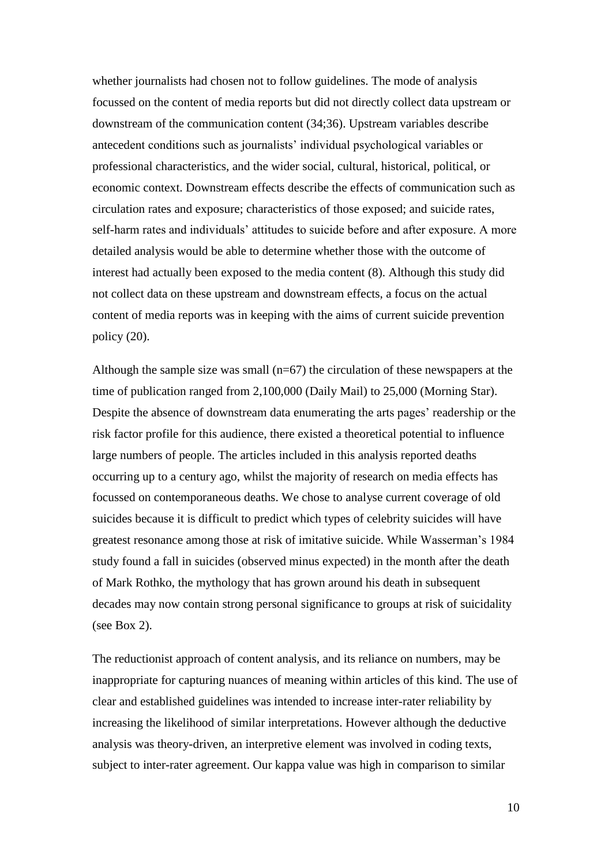whether journalists had chosen not to follow guidelines. The mode of analysis focussed on the content of media reports but did not directly collect data upstream or downstream of the communication content (34;36). Upstream variables describe antecedent conditions such as journalists' individual psychological variables or professional characteristics, and the wider social, cultural, historical, political, or economic context. Downstream effects describe the effects of communication such as circulation rates and exposure; characteristics of those exposed; and suicide rates, self-harm rates and individuals' attitudes to suicide before and after exposure. A more detailed analysis would be able to determine whether those with the outcome of interest had actually been exposed to the media content (8). Although this study did not collect data on these upstream and downstream effects, a focus on the actual content of media reports was in keeping with the aims of current suicide prevention policy (20).

Although the sample size was small  $(n=67)$  the circulation of these newspapers at the time of publication ranged from 2,100,000 (Daily Mail) to 25,000 (Morning Star). Despite the absence of downstream data enumerating the arts pages' readership or the risk factor profile for this audience, there existed a theoretical potential to influence large numbers of people. The articles included in this analysis reported deaths occurring up to a century ago, whilst the majority of research on media effects has focussed on contemporaneous deaths. We chose to analyse current coverage of old suicides because it is difficult to predict which types of celebrity suicides will have greatest resonance among those at risk of imitative suicide. While Wasserman's 1984 study found a fall in suicides (observed minus expected) in the month after the death of Mark Rothko, the mythology that has grown around his death in subsequent decades may now contain strong personal significance to groups at risk of suicidality (see Box 2).

The reductionist approach of content analysis, and its reliance on numbers, may be inappropriate for capturing nuances of meaning within articles of this kind. The use of clear and established guidelines was intended to increase inter-rater reliability by increasing the likelihood of similar interpretations. However although the deductive analysis was theory-driven, an interpretive element was involved in coding texts, subject to inter-rater agreement. Our kappa value was high in comparison to similar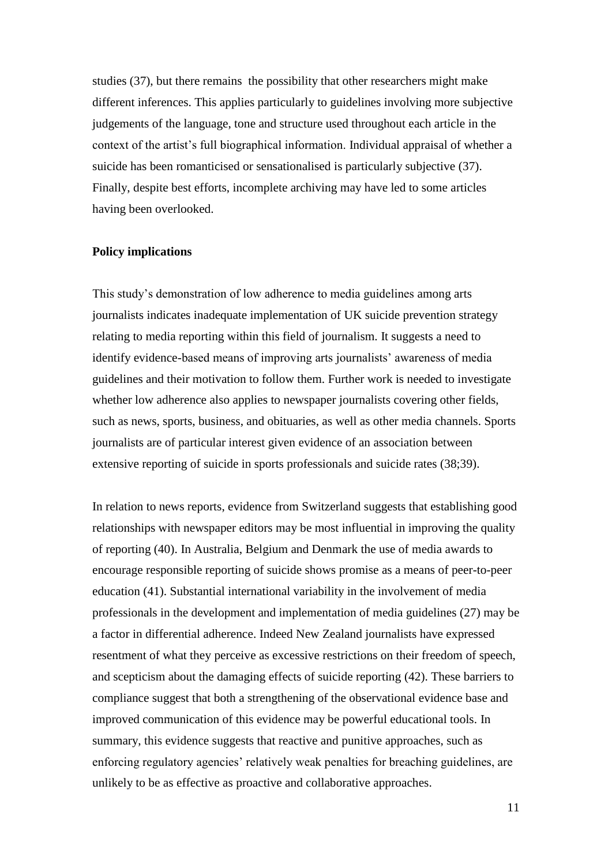studies (37), but there remains the possibility that other researchers might make different inferences. This applies particularly to guidelines involving more subjective judgements of the language, tone and structure used throughout each article in the context of the artist's full biographical information. Individual appraisal of whether a suicide has been romanticised or sensationalised is particularly subjective (37). Finally, despite best efforts, incomplete archiving may have led to some articles having been overlooked.

#### **Policy implications**

This study's demonstration of low adherence to media guidelines among arts journalists indicates inadequate implementation of UK suicide prevention strategy relating to media reporting within this field of journalism. It suggests a need to identify evidence-based means of improving arts journalists' awareness of media guidelines and their motivation to follow them. Further work is needed to investigate whether low adherence also applies to newspaper journalists covering other fields, such as news, sports, business, and obituaries, as well as other media channels. Sports journalists are of particular interest given evidence of an association between extensive reporting of suicide in sports professionals and suicide rates (38;39).

In relation to news reports, evidence from Switzerland suggests that establishing good relationships with newspaper editors may be most influential in improving the quality of reporting (40). In Australia, Belgium and Denmark the use of media awards to encourage responsible reporting of suicide shows promise as a means of peer-to-peer education (41). Substantial international variability in the involvement of media professionals in the development and implementation of media guidelines (27) may be a factor in differential adherence. Indeed New Zealand journalists have expressed resentment of what they perceive as excessive restrictions on their freedom of speech, and scepticism about the damaging effects of suicide reporting (42). These barriers to compliance suggest that both a strengthening of the observational evidence base and improved communication of this evidence may be powerful educational tools. In summary, this evidence suggests that reactive and punitive approaches, such as enforcing regulatory agencies' relatively weak penalties for breaching guidelines, are unlikely to be as effective as proactive and collaborative approaches.

11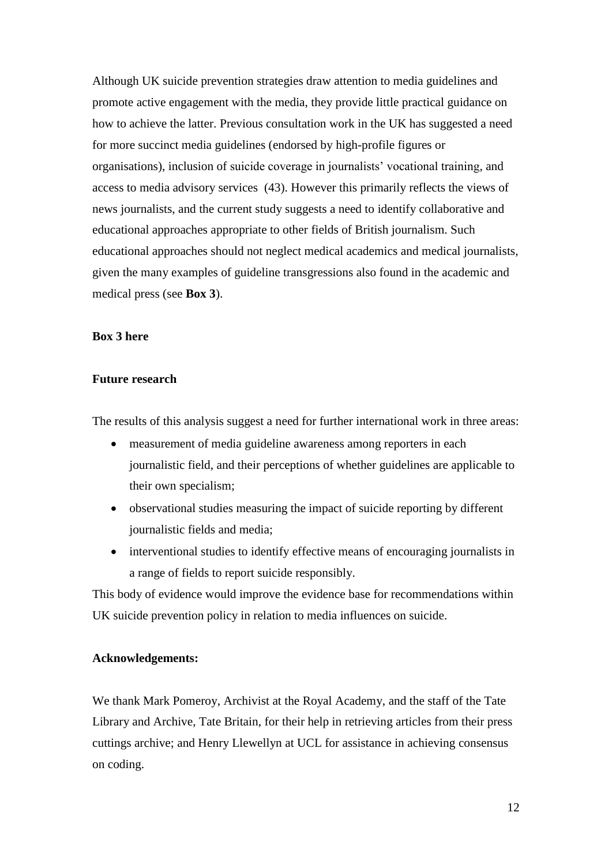Although UK suicide prevention strategies draw attention to media guidelines and promote active engagement with the media, they provide little practical guidance on how to achieve the latter. Previous consultation work in the UK has suggested a need for more succinct media guidelines (endorsed by high-profile figures or organisations), inclusion of suicide coverage in journalists' vocational training, and access to media advisory services (43). However this primarily reflects the views of news journalists, and the current study suggests a need to identify collaborative and educational approaches appropriate to other fields of British journalism. Such educational approaches should not neglect medical academics and medical journalists, given the many examples of guideline transgressions also found in the academic and medical press (see **Box 3**).

# **Box 3 here**

## **Future research**

The results of this analysis suggest a need for further international work in three areas:

- measurement of media guideline awareness among reporters in each journalistic field, and their perceptions of whether guidelines are applicable to their own specialism;
- observational studies measuring the impact of suicide reporting by different journalistic fields and media;
- interventional studies to identify effective means of encouraging journalists in a range of fields to report suicide responsibly.

This body of evidence would improve the evidence base for recommendations within UK suicide prevention policy in relation to media influences on suicide.

# **Acknowledgements:**

We thank Mark Pomeroy, Archivist at the Royal Academy, and the staff of the Tate Library and Archive, Tate Britain, for their help in retrieving articles from their press cuttings archive; and Henry Llewellyn at UCL for assistance in achieving consensus on coding.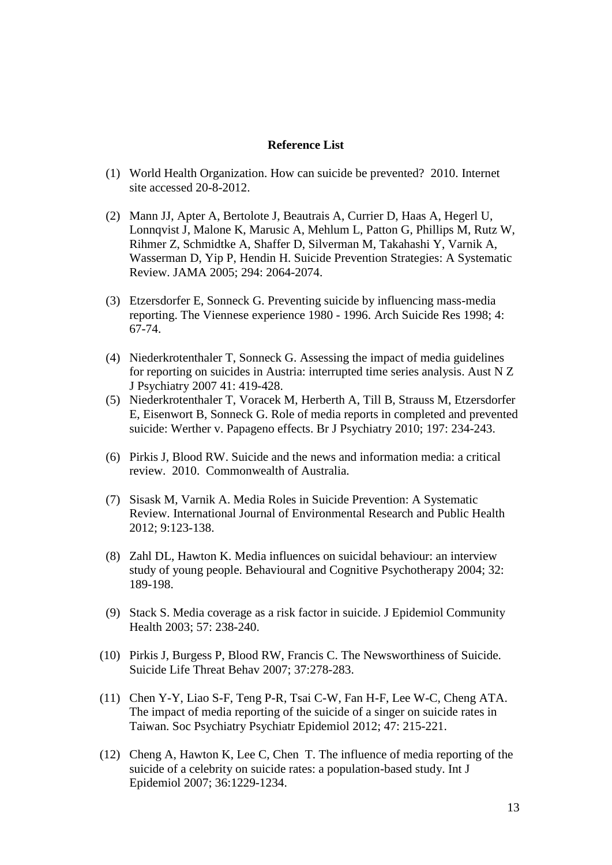## **Reference List**

- (1) World Health Organization. How can suicide be prevented? 2010. Internet site accessed 20-8-2012.
- (2) Mann JJ, Apter A, Bertolote J, Beautrais A, Currier D, Haas A, Hegerl U, Lonnqvist J, Malone K, Marusic A, Mehlum L, Patton G, Phillips M, Rutz W, Rihmer Z, Schmidtke A, Shaffer D, Silverman M, Takahashi Y, Varnik A, Wasserman D, Yip P, Hendin H. Suicide Prevention Strategies: A Systematic Review. JAMA 2005; 294: 2064-2074.
- (3) Etzersdorfer E, Sonneck G. Preventing suicide by influencing mass-media reporting. The Viennese experience 1980 - 1996. Arch Suicide Res 1998; 4: 67-74.
- (4) Niederkrotenthaler T, Sonneck G. Assessing the impact of media guidelines for reporting on suicides in Austria: interrupted time series analysis. Aust N Z J Psychiatry 2007 41: 419-428.
- (5) Niederkrotenthaler T, Voracek M, Herberth A, Till B, Strauss M, Etzersdorfer E, Eisenwort B, Sonneck G. Role of media reports in completed and prevented suicide: Werther v. Papageno effects. Br J Psychiatry 2010; 197: 234-243.
- (6) Pirkis J, Blood RW. Suicide and the news and information media: a critical review. 2010. Commonwealth of Australia.
- (7) Sisask M, Varnik A. Media Roles in Suicide Prevention: A Systematic Review. International Journal of Environmental Research and Public Health 2012; 9:123-138.
- (8) Zahl DL, Hawton K. Media influences on suicidal behaviour: an interview study of young people. Behavioural and Cognitive Psychotherapy 2004; 32: 189-198.
- (9) Stack S. Media coverage as a risk factor in suicide. J Epidemiol Community Health 2003; 57: 238-240.
- (10) Pirkis J, Burgess P, Blood RW, Francis C. The Newsworthiness of Suicide. Suicide Life Threat Behav 2007; 37:278-283.
- (11) Chen Y-Y, Liao S-F, Teng P-R, Tsai C-W, Fan H-F, Lee W-C, Cheng ATA. The impact of media reporting of the suicide of a singer on suicide rates in Taiwan. Soc Psychiatry Psychiatr Epidemiol 2012; 47: 215-221.
- (12) Cheng A, Hawton K, Lee C, Chen T. The influence of media reporting of the suicide of a celebrity on suicide rates: a population-based study. Int J Epidemiol 2007; 36:1229-1234.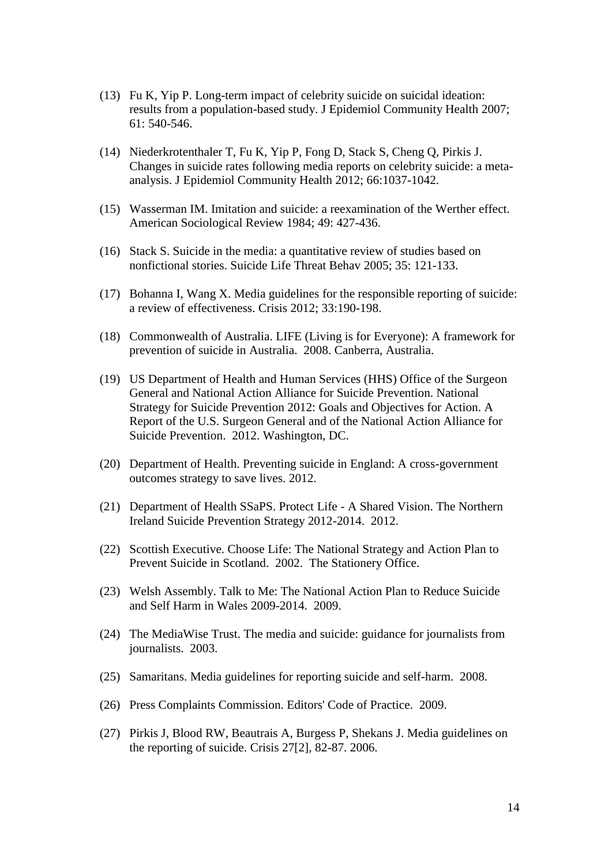- (13) Fu K, Yip P. Long-term impact of celebrity suicide on suicidal ideation: results from a population-based study. J Epidemiol Community Health 2007; 61: 540-546.
- (14) Niederkrotenthaler T, Fu K, Yip P, Fong D, Stack S, Cheng Q, Pirkis J. Changes in suicide rates following media reports on celebrity suicide: a metaanalysis. J Epidemiol Community Health 2012; 66:1037-1042.
- (15) Wasserman IM. Imitation and suicide: a reexamination of the Werther effect. American Sociological Review 1984; 49: 427-436.
- (16) Stack S. Suicide in the media: a quantitative review of studies based on nonfictional stories. Suicide Life Threat Behav 2005; 35: 121-133.
- (17) Bohanna I, Wang X. Media guidelines for the responsible reporting of suicide: a review of effectiveness. Crisis 2012; 33:190-198.
- (18) Commonwealth of Australia. LIFE (Living is for Everyone): A framework for prevention of suicide in Australia. 2008. Canberra, Australia.
- (19) US Department of Health and Human Services (HHS) Office of the Surgeon General and National Action Alliance for Suicide Prevention. National Strategy for Suicide Prevention 2012: Goals and Objectives for Action. A Report of the U.S. Surgeon General and of the National Action Alliance for Suicide Prevention. 2012. Washington, DC.
- (20) Department of Health. Preventing suicide in England: A cross-government outcomes strategy to save lives. 2012.
- (21) Department of Health SSaPS. Protect Life A Shared Vision. The Northern Ireland Suicide Prevention Strategy 2012-2014. 2012.
- (22) Scottish Executive. Choose Life: The National Strategy and Action Plan to Prevent Suicide in Scotland. 2002. The Stationery Office.
- (23) Welsh Assembly. Talk to Me: The National Action Plan to Reduce Suicide and Self Harm in Wales 2009-2014. 2009.
- (24) The MediaWise Trust. The media and suicide: guidance for journalists from journalists. 2003.
- (25) Samaritans. Media guidelines for reporting suicide and self-harm. 2008.
- (26) Press Complaints Commission. Editors' Code of Practice. 2009.
- (27) Pirkis J, Blood RW, Beautrais A, Burgess P, Shekans J. Media guidelines on the reporting of suicide. Crisis 27[2], 82-87. 2006.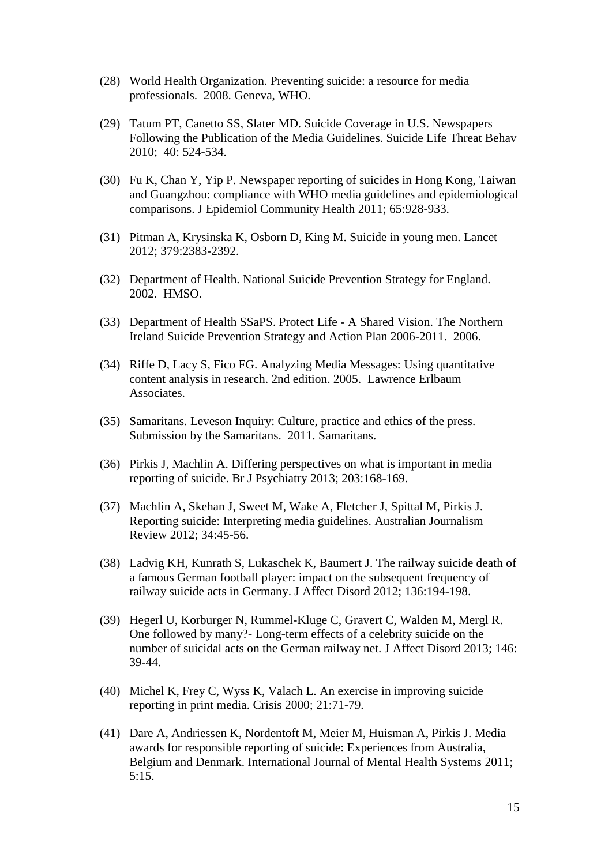- (28) World Health Organization. Preventing suicide: a resource for media professionals. 2008. Geneva, WHO.
- (29) Tatum PT, Canetto SS, Slater MD. Suicide Coverage in U.S. Newspapers Following the Publication of the Media Guidelines. Suicide Life Threat Behav 2010; 40: 524-534.
- (30) Fu K, Chan Y, Yip P. Newspaper reporting of suicides in Hong Kong, Taiwan and Guangzhou: compliance with WHO media guidelines and epidemiological comparisons. J Epidemiol Community Health 2011; 65:928-933.
- (31) Pitman A, Krysinska K, Osborn D, King M. Suicide in young men. Lancet 2012; 379:2383-2392.
- (32) Department of Health. National Suicide Prevention Strategy for England. 2002. HMSO.
- (33) Department of Health SSaPS. Protect Life A Shared Vision. The Northern Ireland Suicide Prevention Strategy and Action Plan 2006-2011. 2006.
- (34) Riffe D, Lacy S, Fico FG. Analyzing Media Messages: Using quantitative content analysis in research. 2nd edition. 2005. Lawrence Erlbaum Associates.
- (35) Samaritans. Leveson Inquiry: Culture, practice and ethics of the press. Submission by the Samaritans. 2011. Samaritans.
- (36) Pirkis J, Machlin A. Differing perspectives on what is important in media reporting of suicide. Br J Psychiatry 2013; 203:168-169.
- (37) Machlin A, Skehan J, Sweet M, Wake A, Fletcher J, Spittal M, Pirkis J. Reporting suicide: Interpreting media guidelines. Australian Journalism Review 2012; 34:45-56.
- (38) Ladvig KH, Kunrath S, Lukaschek K, Baumert J. The railway suicide death of a famous German football player: impact on the subsequent frequency of railway suicide acts in Germany. J Affect Disord 2012; 136:194-198.
- (39) Hegerl U, Korburger N, Rummel-Kluge C, Gravert C, Walden M, Mergl R. One followed by many?- Long-term effects of a celebrity suicide on the number of suicidal acts on the German railway net. J Affect Disord 2013; 146: 39-44.
- (40) Michel K, Frey C, Wyss K, Valach L. An exercise in improving suicide reporting in print media. Crisis 2000; 21:71-79.
- (41) Dare A, Andriessen K, Nordentoft M, Meier M, Huisman A, Pirkis J. Media awards for responsible reporting of suicide: Experiences from Australia, Belgium and Denmark. International Journal of Mental Health Systems 2011; 5:15.